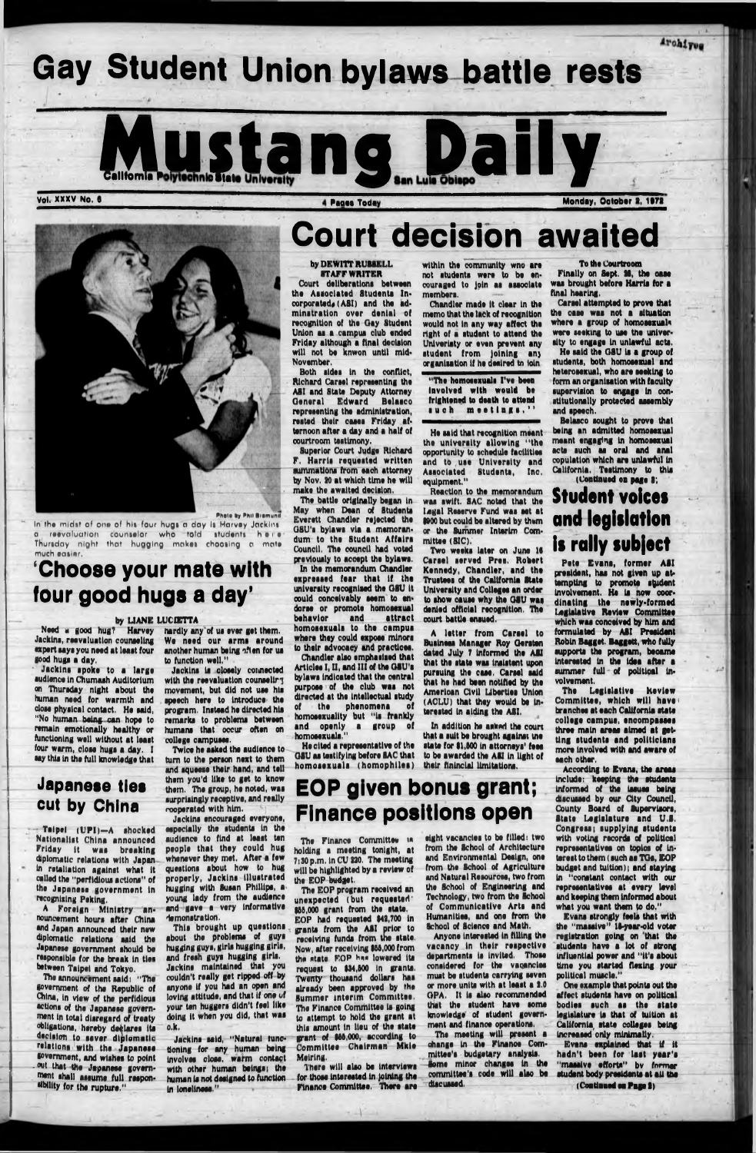# Gay Student Union bylaws battle rests







### **Photo by Phil Bramund**

In' the midst of one of his four hugs a day is Harvey Jackins a reevaluation counselor who totd students here Thursday night that hugging makes choosing a mate much eatier,

# 'Choose your mate with four good hugs a day'

### **by LIANE LUCESTTA**

Need a good hug? Harvey **Jackins, reevaluation counseling export tays you need at laast four** good hugs a day.

Jackins spoke to a large **audience In Chumaah Auditorium on Thursday night about the human need for warmth and dose physical contact. Ho said, "No human being can hope to remain emotionally healthy or functioning wall without at least four warm, close hugs a day. I a y this In the full knowledge that**

 $-$  Taipei (UPI)-A shocked **N ationalist China announced Friday It waa breaking diplomatic relations with Japan In retaliation against what It called the "perfidious actions" of** the Japanese government in **recognising Poking.**

A Foreign Ministry an**nouncement hours after China and Japan announced their new diplomatic relations said tho Japanese government should be responsible for the break In ties between Taipei and Tokyo.**

## Japanese ties cut by China

We need our arms around **another human being often for ua to function well,"**

Jackins is closely coimected with the reevaluation counseling **movement, but did not use his** speech here to introduce the **program. Instead he directed hla remarks to problems between humans that occur often on college campuses.**

This brought up questions **about the problems of guys hugging guys, girls hugging girls, and fresh guys hugging girls. Jackins maintained that you couldn't really get ripped off by anyone If you had an open and loving attitude, and that if one of your ten buggers didn't feel like doing it when you did, that was o.k.**

**The announcement said; "The government of the Republic of Qtlna, in view of the perfidious** actions of the Japanese govern**ment In total disregard of treaty obligations, hereby declares Its decision to saver diplom atic relations with tha Japanese government, and wishes to point . out that the Japanese government shall assume full responsibility for the rupture,"**

# Court decision awaited

### **by DEWITT RUSSELL STAFF WRITER**

**hardly any'of ua ever get them.**

**Twice he asked the audience to turn to the person next to them and squeeae their hand, and tell them you'd like to get to know them. The group, he noted, was surprisingly receptive, and really cooperated with him.**

**Jackins encouraged everyone, especially the students In tho audience to find at least ten people that they could hug \_ whenever they met, After a few questions about how to hug** properly, **Jackins** illustrated **hugging with Susan Phillips, a young lady from the audience and gave a very informative demonstration.**

**Jackins said, "Natural functioning for any human being involves close, warm contact with other human beings; the human la not designed to function In loneliness."**

**The Finance Committee is holding a meeting tonight, at 7:30 p.m. In CU 220. The meeting will be highlighted by a review of** the EOP budget.

**Court deliberations between the Associated Students In**  corporated, (ASI) and the adminatration over denial of **recognition of tho Gay Student Union as a campus club ended Friday although a final decision will not be knwon until mid-November,**

**The EOP program received an unexpected (but requested' 166,000 grant from tho state.** EOP had requested \$42,700 in **grants from the ASI prior to receiving funda from the state. Now, after receiving 966,000 from** the state **FOP** has lowered its **request to 934,600 In grants. Twenty thousand dollars has already been approved by the Summer interim Committee. The Finance Committee is going to attempt to hold tho grant at this amount In lieu of the state grant of 966,000, according to Committee Chairman Mkle Meiring.**

**Both aides In tho conflict, Richard Caraol representing the ASI and State Deputy Attorney** General Edward Belasco **representing the administration, rested their cases Friday afternoon after a day and a half of courtroom testimony.**

**Superior Court Judge Richard F.** Harris requested written **summations from each attorney by Nov. 20 at which time he will make the awaited decision.**

**The battle originally began In May when Dean of Students Everett Chandler rejected the GSU's bylaws via a memoran**dum to the Student Affairs **Council, The council had voted previously to accept tho bylaws. In the memorandum Chandler expreaaed fear that If the university recognised the OSU It could conceivably seem to endorse or promote homosexual behavior and attract homosexuals** to the campus **where they could expose minors to their advocacy and practices.**

**Chandler also emphasised that** Articles I, II, and III of the GSU's **bylaws indicated that the central purpose of the club waa not directed at tho intellectual study of the phenomena of**

Pete Evans, former ASI president, has not given up at**tempting to promote ardent Involvement. He la now coordinating the newly-form ed Legislative Review Committee which was conceived by him and** formulated by **ASI** President **Robin Bagget. Baggett, who fully supports tho program, became Interested In the Idea after a** summer full of political in**volvement.**

**homosexuality but "Is frankly** and openly a group **homosexuals."**

**The Legislative Review** Committee, which will have **branches at each California state college cam pus, encom passes three main areas aimed at getting students and politicians more Involved with and aware of each other.**

**Ho cited a representative of the OSU aa testifying before SAC that hom osexuals (hom ophllea)**

**within the community wno are not students were to be encouraged to Join as associate members.**

**Chandler made It clear in tho memo that tho lack of recognition would not In any way affect the right of a student to attend the Uni variety or even prevent any atudent from Joining an) organisation It he desired to loin**

**"The homosexuals I've been Involved with would be frightened to death to attend such meetings,"**

> student body presidents at all the **(Continued oa Page 2)**

**He aald that recognition meant the unlvaratty allow ing "the opportunity to schedule facilities** and to use University and<br>Associated Students, Inc. **Associated Students, Inc. equipment."**

**Reaction to the memorandum waa awift. SAC noted that the** Lewal Reserve Fund was set at **1200 but could be altered by them or the Summer Interim Committee (SIC).**

**Two weeks later on June 16 Carael served Prea. Robert Kennedy, Chandler, and the Trustees of the California State University and Colleges an order to show cauae why the OSU waa denied official recognition. The court battle ensued.**

**A letter from Carael to Bualneea Manager Roy Oeraten dated July 7 informed the ASI that the state was insistent upon pursuing the case. Carael said that ho had been notified by the Amorloan Civil Liberties Union (A CLU ) that they would be interested In aiding the ASI.**

**In** addition he asked the coun that a suit be brought againat mo state for \$1,500 in attorneys' fees to be awarded the **ASI** in light of their flninclal limitations.

# EOP given bonus grant; Finance positions open

**There will also be Interviews for thoae Interested In Joining the Finance Committee. There are** **eight vacancies to be filled: two from the School of Architecture and Environmental Design, one from the School of Agriculture and Natural Resources, two from the School of Engineering and Technology, two from the School** of Communicative Arts and **Humanities, and one from the School of Science and Math.**

**Anyone Interested In filling the vacancy In their respective departments Is Invited. Those considered for the vacancies must be students carrying seven or more units with at least a 2.0 GPA. It la also recommended that the student have some knowledge of student government and finance operations.** The meeting will present a **change In the Finanoe Committee's budgetary analysis. Some minor changes In the committee's code will also be**

**dlacuaaed.**

**To the Courtroom**

Archives

**Finally on 8opt. 21, the oaae** was brought before Harris for a **final hearing.**

**Carael attempted to prove that the case waa not a situation where a group of homosexuals were seeking to uae the university to engage In unlawful acts.**

**He aald the G8U la a group of students, both homosexual and heterosexual, who are eeeklng to form an organisation with faculty** supervision to engage in con**stitutionally protected assembly and speech.**

**Belaeco sought to prove that being an admitted homosexual meant engaging In homosexual acta such as oral and anal copulation which are unlawful In California. Testimony to this (Continued on page 9;**

# Student voices and legislation is rally subject

**According to Evans, the areas**

**Include: keeping the students Informed of the Issues being discussed by our City Council, County Board of Supervisors, State Legislature and U.S. Congress; supplying students with voting records of political representatives on topics of Interest to them (such aa TOe, EO P budget and tuition); and staying In "constant contact with our representatives at every level and keeping them Informed about what you want them to do."**

**Evans strongly fools that with the "maMlve" 19-year-old voter registration going on that the students have a lot of strong influential power and "it's about time you started flexing your polltlcel m uscle."**

**. One example that points out the affect students have on political bodies** such as the state **legislature Is that of tuition at California, state colleges being Increased only minimally. Evans explained that If it** hadn't been for last year's **"m assive efforts" bv former**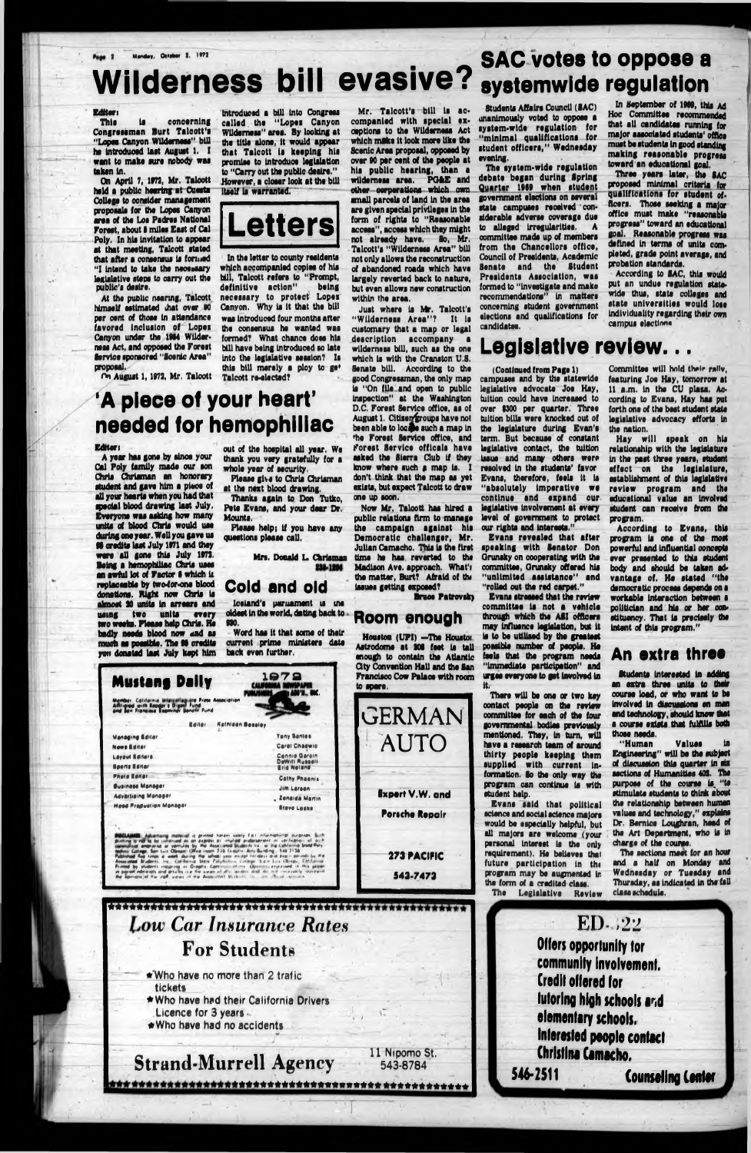# Mandey, Origin I, 1972 Wilderness bill evasive? systemwide regulation

- f

### **Edltori**

This is concerning **Congressman Burt Talcott's** "Lopes Canyon Wilderness" bill **ha Introduoad laat Auguat 1. I** want to make sure nobody was **takan In.**

**On April 7, 1972, Mr. Taloott hold a public haartng at Cuoata Collaga to conaidar managamant propoaala for tha Lopaa Canyon aroa of tha Loa Padraa National Forest, about S mllaa Eaat of Cal Poly. In hia Invitation to appaar at that moating, Talcott atatad that aftar a conaanaua la formed "I Intand to taka tha necessary laalalatlva atapa to carry out tha public'! daalro.**

**At tha public naaring, Talcott htmaalf oatlmatad that ovar 90 par cant of thoaa In attandanco favorad Indualon of Lopai Canyon undar tha 1964 Wildernoaa Act, and oppoaad tha Foraat flervice sponsored "Scenic Area" propoaal,**

**On Auguat 1,1972, Mr. Talcott**

**Introduced a bill Into Congreaa called tha " Lopaa Canyon WUdomaaa" area. By looking at tha title alone, It would appaar that Talcott la keeping hla promlaa to Introduce legislation to "Carry out tha publlo daalra." However, a cloaar look at tha bill Itaelf la warranted.**



**' In tha latter to county roaldonta which accompanied coplaa of hla bill, Talcott refers to "Prompt, definitive action" being nacaaaary to protect Lopaa Canyon. Why la It that tha bill waa Introduced four months altar tha consensus ha wanted was formed? What chance does hla bill have being Introduced so late Into tha legislative session? Ia this bill merely a ploy to ga\* Talcott re-elected?**

'A piece of your heart' needed for hemophiliac

### **Editor t**

**A year has gone by since your Cal Poly family made our son Chris Chrlaman an honorary student and gave him a place of all your hearts whan you had that special blood drawing laat July, Everyone waa asking how many units of blood Chris would use during one year. Wall you gave us 91 credits laat July 1971 and they ware all gone this July 1972. Being a hemophiliac Chris usee an awful lot of Factor 9 which U** replaceable by two-for-one blood **donations. Right now Chris la almost 20 units In arrears and using twa units every two weeks. Please help Chris. He badly needs blood now and as much as possible. The 91 credits**

Mr. Talcott's bill is ac**companied with special exceptions to the Wilderness Act which make It look more like the Scenic Aroa proposal, oppoaad by over 90 per cent of the people at his public hearing, than a** wilderness area. PG&E and **other corporations which own sm all parcels of land In the area are given special privileges In the form of rights to "Reasonable access", access which they might not already have. So, Mr. Talcott's "Wilderness Area" bill not only allows the reconstruction of abandoned roads which have largely reverted back to nature, but even allows new construction within the area.**

**out of the hospital all year. Wo thank you very gratefully for a**

**whole year of security.**

**Please give to Chris Chrlaman at the next blood drawing. Thanks again to. Don Tutko, Pete Evans, and your dear Dr.**

**Mounts.**

**Please help; If you have any**

**questions please call.**

**Mrs. Donald L Chrlaman**

**Just where is Mr. Talcott's " W ilderness A rea "? It Is customary that a map or legal description accom pany a wilderness bill, such as the one which Is with the Cranston U.S. Senate bill. According to the good Congressman, the only map Is "On (lie and open to public Inspection" at the Washington D.C. Forest Service office, as of August 1. Citizen groups have not** been able to locate such a map in **lie Forest Service office, and Forest Service officals have asked the Sierra Club If they** know where such a map is. **don't think that the map as yet exists, but expect Talcott to draw one up soon.**

Cold and old **- Iceland's parliament is me oldest In the world, dating back to 930. Word has It that some of their current prime ministers date**

| <b>Mustang Dally</b>                                                                                                                  |               |                  | 1972<br>AOS'N., INC.                  |
|---------------------------------------------------------------------------------------------------------------------------------------|---------------|------------------|---------------------------------------|
| Mamber, California Imierzallaginta Press Association<br>Alltigred with Booder's Digost Pund<br>and Ban Francisca Espinindr Bonom Pund | <b>Baller</b> | Kathleen Beasley |                                       |
|                                                                                                                                       |               |                  |                                       |
|                                                                                                                                       |               |                  | <b>Teny Banles</b>                    |
| <b>Managing Editor</b><br><b>News Editor</b>                                                                                          |               |                  | Carel Chadwie                         |
|                                                                                                                                       |               |                  | <b>Cennie Garain</b>                  |
| <b>Laveut Editors</b><br>Sports Editor                                                                                                |               |                  | DeWill Russell-<br><b>Rria Natand</b> |

**Houston (UPI) -The Houston Astrodome at 201 feet Is tall enough to contain the Atlantic City Convention Hall and the San Francisco Cow Palaoe with room to spare.**

Three years later, the SAC **proposed minimal criteria for** qualifications for student of**ficers. Those seeking a major office must make "reasonable progress" toward an educational goal. Reasonable progress wss defined In terms of units completed, grade point average, and probation standards.**

**Evans revealed that after speaking with Benator Don Oransky on cooperating with the committee, Oransky offered his** "unlimited assistance" and **"rolled out the red carpet."**

Committee will hold their rally, **featuring Joe Hay, tomorrow at** 11 a.m. in the CU plasa. Ac**cording to Evans, Hay has put forth one of the best student state legislative advocacy efforts In the nation.**

According to Evans, this **program Is one of the most powerful and Influential concepts ever presented to this student body and should be taken advantage of. He stated "ths democratic process depends on s workable Interaction between s politician and his or her constituency. That Is precisely ths Intent of this program."**

"Human Values **Engineering" will be the subject of discussion this quarter In six sections of Humanities 402. Ths purpose of the course is. "to**

**ED-,22** Offers opportunity tor community involvement. Credit offered for tutoring high schools and elementary schools. Interested people contact Christina Camacho.<br>546-2511

Counseling Center

**Now Mr. Talcott has hired a public relations firm to manage tha cam paign against his** Democratic challenger, Mr. **Julian Camacho. This Is the first time he has reverted to tha Madison Ave. approach. What'i tha matter, Burt? Afraid of ttu iasues getting expoeed?**

**Bruce Patrovsk)**

## Room enough

**GERMAN**

**AUTO**

*\*tTTTSSTtTSSTTSTTK777TS7TTSTTTT^ Low Cor Insurance Rates* **For Students**

> **~ ♦ Who have no more than 2 trafic tickets ★W h o have had their California Drivers Licence for 3 years -♦Who have had no accidents**

| PROTECTION<br><b>Business Manager</b>                                                                                                                                                                                                                                                                                                                                                                                                                                                                                                                                                                                                                                                                                                                                                                                                                                                                             | <b>Cathy Phoenix</b>           |                                | program can continue is with                                                                                                                                  | <b>PULT</b>                           |
|-------------------------------------------------------------------------------------------------------------------------------------------------------------------------------------------------------------------------------------------------------------------------------------------------------------------------------------------------------------------------------------------------------------------------------------------------------------------------------------------------------------------------------------------------------------------------------------------------------------------------------------------------------------------------------------------------------------------------------------------------------------------------------------------------------------------------------------------------------------------------------------------------------------------|--------------------------------|--------------------------------|---------------------------------------------------------------------------------------------------------------------------------------------------------------|---------------------------------------|
| <b>Advartising Manager</b>                                                                                                                                                                                                                                                                                                                                                                                                                                                                                                                                                                                                                                                                                                                                                                                                                                                                                        | Jim Larsen<br>. Zenaida Martin | <b>Expert V.W. and</b>         | student help.                                                                                                                                                 | gάπ                                   |
| <b>Head Preduction Manager</b>                                                                                                                                                                                                                                                                                                                                                                                                                                                                                                                                                                                                                                                                                                                                                                                                                                                                                    | <b>Stove Lesks</b>             |                                | Evans said that political                                                                                                                                     | the                                   |
|                                                                                                                                                                                                                                                                                                                                                                                                                                                                                                                                                                                                                                                                                                                                                                                                                                                                                                                   |                                | Porsche Repair                 | science and social science majors<br>would be especially helpful, but                                                                                         | valu<br>Dr.                           |
| <b>PIECLAIMS</b> Advertising material is privide harass saldly for information purposes. Such<br>districtions to mail to be completed an am pearder as implied anderstream on varifications of such<br>communicated and programs are sentisted by the Associated Students Inc. or the California State Paty.<br>Millen Callage, Spn Luis Obrson, Office room 276 Grayfrir Arts Building, 146-2136.<br>Publishing from temps a work during the school year except incidelys and beam periods by the<br>Assessmental Students, Inc., Cat-formia State Palytration Contract State Line Chinese, City Linear<br>Printed by shallonds inquiring in Graphic Commission of my Upstell Languassed in this payer.<br>an assessment exploration and genuines are that supposed all allow securities attail the most conceasing representation<br>the agonizes of the 200 views of the Associated State in the 19 of seconds |                                | <b>273 PACIFIC</b><br>543-7473 | all majors are welcome (your<br>personal interest is the only<br>requirement). He believes that<br>future participation in the<br>program may be augmented in | the<br>char<br>T<br><b>And</b><br>Wed |
|                                                                                                                                                                                                                                                                                                                                                                                                                                                                                                                                                                                                                                                                                                                                                                                                                                                                                                                   |                                |                                | the form of a credited class.                                                                                                                                 | Thu                                   |

**543-8784**

**Students Affairs Council (SAC) unanimously voted to oppose a system -wide regulation for " m inim al qualifications for** student officers," Wednesday **evening.**

**The system -wide regulation debate began during Spring Q uarter 1969 when student government elections on several state campuses received ' considerable adverse coverage due to alleged Irregularities. A committee made up of members from the Chancellors office, Council of Presidents, Acsdemlc Senate and the Student Presidents A ssociation, was formed to "Investigate and make recommendations" In matters concerning student government elections and qualifications for candidates.**

**In September of 1969, this Ad Hoc Committee recommended that all candidates running for major associated students' office must be students In good standing m aking reasonable progress toward an educational goal.**

**According to BAC, this would put an undue regulation statewide thus, state colleges and state universities would loss Individuality regarding their own campus** elections

# Legislative review...

**(Continued from Page 1) campuses and by the statewide legislative advocate Joe Hay, tuition could have Increased to over |300 per quarter. Three tuition bills were knocked out of the legislature during Evan's term. But because of constant legislative contact, the tuition Issue and many others were resolved In the students' favor Evans, therefore, feels it Is "absolutely Im perative we continue and expand our legislative Involvement at every level of government to protect our rights and Interests."**

**Evans stressed that the review committee is not a vehicle through which the ABI officers may Influence legislation, but it Is to be utilised by the greatest possible number of people. He feels that the program needs "Immediate participation" and urges everyone to get Involved In**

**Strand-Murrell Agency 11 Nipomo St. !♦ ♦ ♦ ♦ ♦ ♦ ♦ ♦ ♦ ♦ ♦ ♦ ♦ \* » \* \* » ♦ ♦ ♦ ♦ ♦ ♦ ♦ ♦ \* » » \* + + +** **It. There will be one or two key contact people on the review oommlttae for each of the four governmental bodies previously mentioned. They, In turn, will have a research team of around thirty people keeping them supplied with current information. Bo the only way the**

**The Legislative Review**

**Hay w ill speak on his relationship with the legislature In the past three years, student effect on the legislature, establishment of this legislative review program and ths educational value an involved student can receive from ths program.**

### An extra three

**Students Interested In adding an extra three units to tbsir course load, or who want to be involved In discussions on man and technology, should know thst a course exists that fulfills both those needs.**

**stimulate students to think about the relationship between human values and technology," explains Dr. Bernice Loqghran, head of** Art Department, who is in **charge of the course. The sections meet for an hour**

**end a half on Monday and Wednesday or Tuesday and Thursday, as indicated In the fall class schedule.**

I

*t*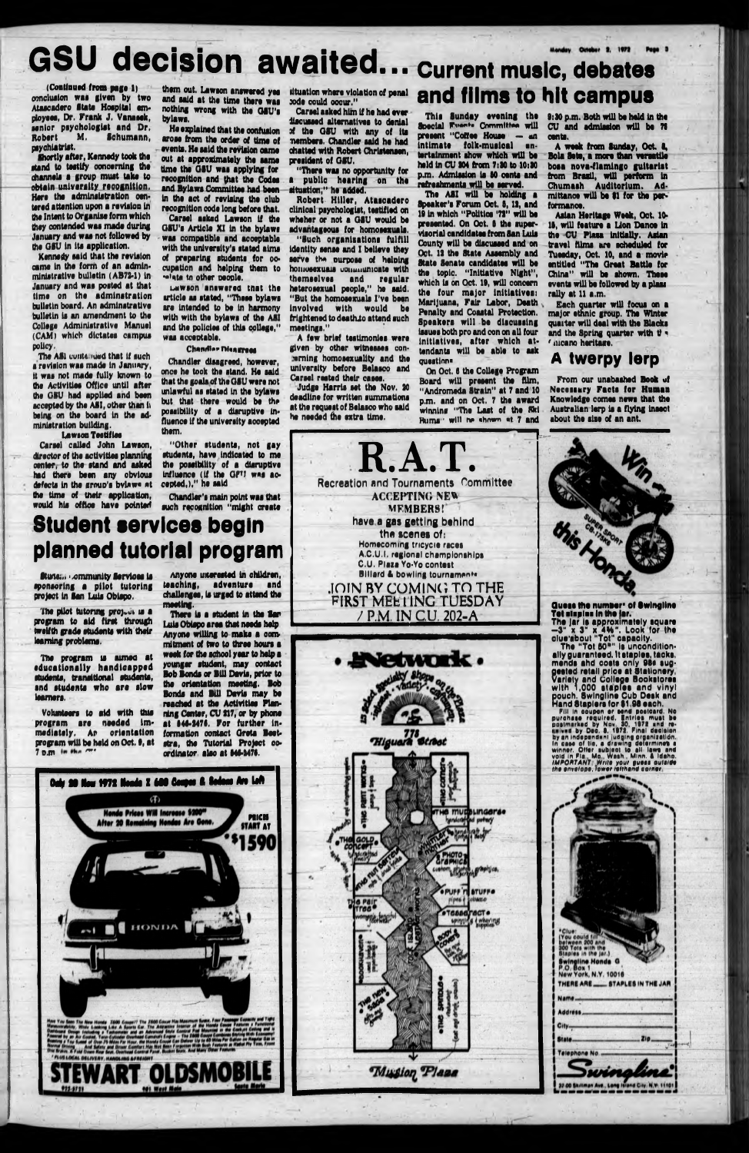# GSU decision awaited... Current music, debates

**(Continued from page l) conclusion was glvan by two** Ataacadero State Hospital em**ployaaa, Dr. Frank J. Vanaaak,** senior psychologist and Dr.<br>Robert M. Schumann, **Hobart M. Schum ann, psychiatrist.**

**Shortly aftar, Kannady took tha stand to testify concarnlng tha channala a group must taka to obtain unlvaralty raoognltlon.** Here the adminsistration oen**tarad attantion upon a ravlalon In tha Intant to Organlaa form which thay contandad waa mada during January and waa not followad by tha OSU In Ita application.**

The AS1 contained that if such **s revision was made In January, It was not mada fully known to tha Activities Office until aftar the OSU had applied and bean accepted by tha ASI, other than I) being on tha board In tha administration building.**

**Kannady aaid that tha ravlalon** came in the form of an admin**miniatratlva bulletin (AB73\*1) In January and waa poated at that** time on the adminstration **bulletin board. An admlnatrativo bulletin la an amendment to the Collage Administrative Manual (CAM) which dictates campus policy.**

**uawson anew area tnat tha article as stated, "These bylaws are Intended to be In harmony with with tha bylaws of tha ASI** and the policies of this college," was acceptable.

### **Chandier Disagrees**

### **Lawson Testifies**

**Carsel called John Lawson, director of tha activities planning center, to tha stand and asked had there bean any obvious defects In tha group's bvlaw« at tha time of their application, would his office have pointed**

**them out, Lawson answered yes and said at tha time there waa nothing wrong with tha OSU'a bylaws,**





**Ha explained that tha confusion aroaa from tha order of time of events. Ha said tha ravlalon cama out at approximately tha same time tha OSU waa applying for recognition and (hat tha Codas and Bylaws Committee had bean In tha act of revising tha club recognition coda long before that.**

"There was no opportunity for **a public hearing on the situation," he added.**

**Robert Hiller, Atascadero** clinical psychologist, testified on **wheher or not a OSU would be advantageous for homosexuals.**

**Carael asked Lawson If tha GSU's Article XI in the bylaws** was compatible and acceptable **with tha university's stated alma of preparing atudanta for oo\* cupation and helping them to —'wtei tn other people.**

"Such organisations fulfill **Identity sense and I believe they serve the ourpose of helping homosexuals communicate with** and regular **heterosexual people," he said. "But the homosexuals I've been Involved with would be** frightened to death.to attend such **meetings."**

A few brief testimonies were given by other witnesses conberning homosexuality and the university before Belasco and Carsel rested their cases.

**Judge Harris set the Nov. 20 deadline for written summations** at the request of Belasco who said he needed the extra time.

**Chandler disagreed, however, once ha took the stand. Ha said that tha goals of tha OSU ware not unlawful as stated In tha bylaws but that there would be the** possibility of a disruptive influence if the university accepted **them.**

**"O ther students, not gay students, have Indicated to me** the possibility of a disruptive **Influence (if tha OFU was accepted,)," ha Mid**

**Chandler's main point was that such recognition "might create**

**sponsoring a pilot tutoring project In San Luis Obispo.**

The pilot tutoring project is a **program to aid first through** twelfth grade students with their learning problems.

**The program is aimed at** educationally handicapped **students, transitional students, snd students who are slow learners.**

Each quarter will focus on a **major ethnic group. The Winter** quaiter will deal with the Blacks and the Spring quarter with t' **.** *1* **tucano heritaae.**

**Volunteers to aid with this** program are needed immediately. An orientation **program will be held on Oct. t, at 7 o.m** *fm'*

### Stuns;.. **Ammunity Services** is planned tutorial program **Anyone uuerosted In children,**

**situation where violation of penal aode could occur."**

**Carsel asked him If he had ever liscuased alternatives to denial if the OSU with any of Its members. Chandler said he had ohatted with Robert Christensen, president of OSU.**

**There is a student in the Sar** Luis Obispo area that needs help **Anyone willing to make a commitment of two to throe hours a week for the school year to help a younger student, may contact Bob Bonds or B ill Davis, prior to the orientation meeting. Bob Bonds and Bill Davis may be reached at the Activities Planning Center, CU 317, or by phone** at 146-2476. For further information contact Greta Beet**stra, the Tutorial Project coordinator alao at 646\*3476.**

**Quess the number\* of Swingline Tot staples In the lar. The jar Is approximately square -3 " x 3" x 4 H ". Look for ihe**

and films to hit campus

**T h is Sunday evening the Special ITihwi\*. Com m it\*\* w ill present "Cottee House — «n** intimate folk-musical en**tertainment show which w ill be held In CU 304 from 7:80 to 10:80 p.m. Admission Is 60 cents and refreshments will be served.**

**The ASI will be holding a Speaker's Forum Oct. 8,13, and 10 In which "Politics '73" will be presented. On Oct. 6 the supervisorial candidates from 8an Luis County will be discussed and on Oct. 13 the State Assembly and** State Senate candidates will be **the topic. "Initiative Night", Which Is on Oct. 19, will concern** the four major initiatives: **Marijuana, Fair Labor, Death Penalty and Coastal Protection.** Speakers will be discussing **Im u ss both pro and con on all four In itiatives, after which at**tendants will be able to ask **question!**

**On Oct. 6 the College Program** Board will present the film, **"Andromeda Strain" at 7 and 10 p.m. and on Oct. 7 the award** winning "The Last of the Ski **Hums ' will he «hnwn «t. 7 and**

**0:30 p.m. Both will be held in the CU and admission trill be 76 cents.**

**A week from Sunday, Oct. I, Bo la Seta, a more than versatile** bosa nova-flamingo guitarist from Brasil, will perform in Chumash Auditorium. Admittance will be \$1 for the per**formance.**

**Asian Heritage Week, Oct. 10- II, will feature a Lion Danoe In** the CU Plasa initially. Asian travel films are scheduled for **Tuesday, Oct. 10, and a movie entitled "The Great Battle tor** China" will be shown. These **events will be followed by a plan rally at 11 a.m.**

### A twerpy lerp

**From our unabashed Book uf Necessary Facts for Human Knowledge comes news that the Australian lerp Is a flying lnaoct about the slse of an ant.**

Student services begin

**teaohing, adventure and** challenges, is urged to attend the **meeting.**



Higuara Street



**clue'ebout "Tot" oapaolty. The "Tot SO\*" le uncondition\* mende ehd ooale only** gested retail price at 81<br>Variety and College Bo<br>with 1,000 stanles a **arlety and college Bookstores •ugtetlonery, ally guaranteed. It ataplee, taoke, nfy** 98S **ii tv end conega with 1,000 etapfee and vinyl** pouch, Swingline Cub Desk and<br>Hand Staplers for \$1,98 each,<br>\_\_Fill is coupon of send posteard, No **land Staplere (or 91 98 eaoh.**

Fill in coupon or send postcard. No<br>prothese required. Entries must be<br>protinaried by Nov. 30, 1972 and re-<br>unived by Dec. 8, 1972. Final declaion<br>by an independent judging organization.<br>In case of tie, a drawing determine